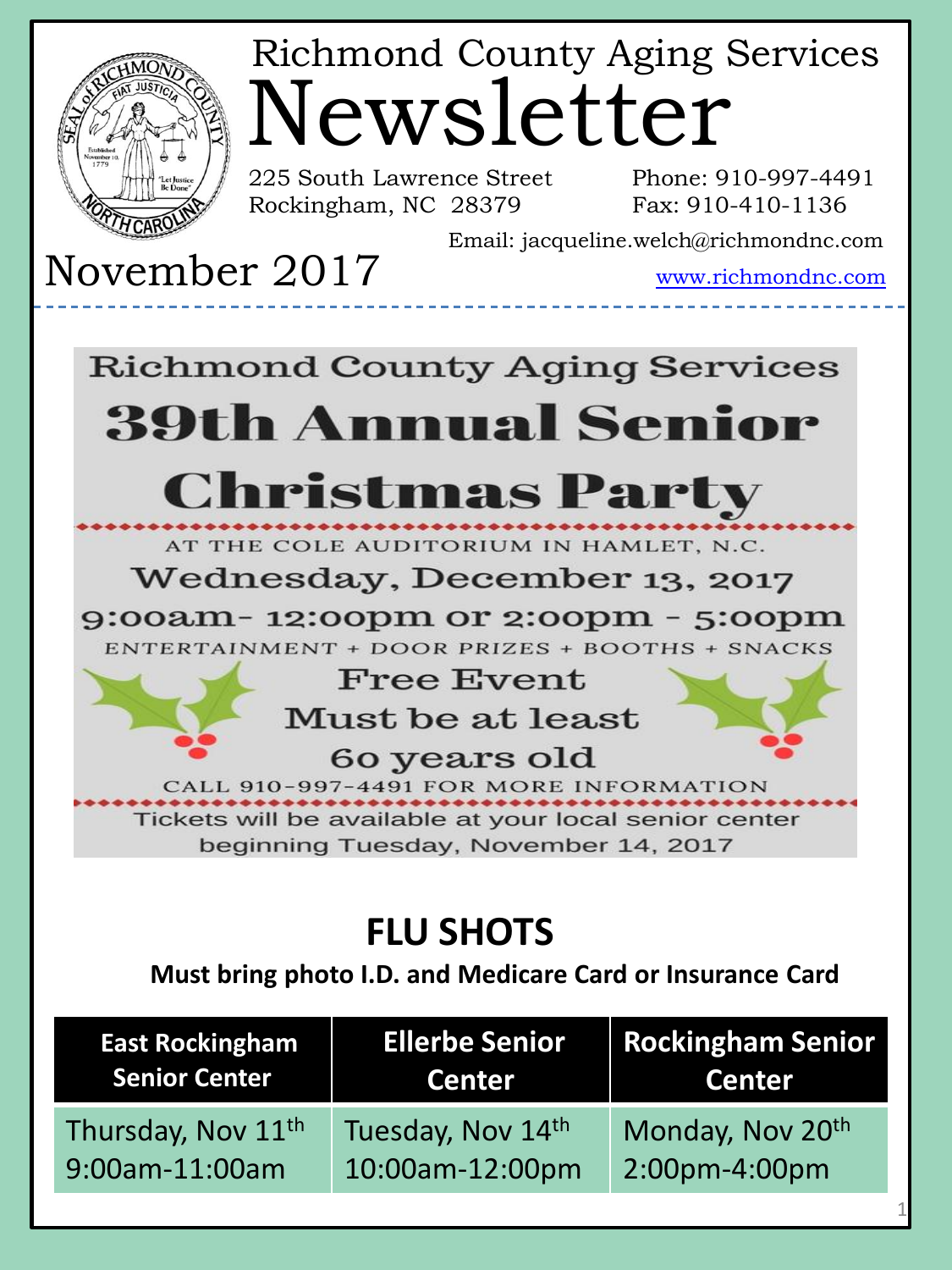

# Newsletter Richmond County Aging Services

225 South Lawrence Street Phone: 910-997-4491 Rockingham, NC 28379

Fax: 910-410-1136

Email: jacqueline.welch@richmondnc.com

November 2017 www.richmondnc.com

#### **Richmond County Aging Services 39th Annual Senior**

## **Christmas Party**

AT THE COLE AUDITORIUM IN HAMLET, N.C.

#### Wednesday, December 13, 2017

9:00am-12:00pm or 2:00pm - 5:00pm ENTERTAINMENT + DOOR PRIZES + BOOTHS + SNACKS

**Free Event** 

Must be at least

60 years old

CALL 910-997-4491 FOR MORE INFORMATION

Tickets will be available at your local senior center beginning Tuesday, November 14, 2017

### **FLU SHOTS**

 **Must bring photo I.D. and Medicare Card or Insurance Card**

| <b>East Rockingham</b><br><b>Senior Center</b> | <b>Ellerbe Senior</b><br>Center | <b>Rockingham Senior</b><br><b>Center</b><br><u> Album ve</u> |
|------------------------------------------------|---------------------------------|---------------------------------------------------------------|
| Thursday, Nov 11 <sup>th</sup>                 | Tuesday, Nov 14th               | Monday, Nov 20th                                              |
| 9:00am-11:00am                                 | 10:00am-12:00pm                 | 2:00pm-4:00pm                                                 |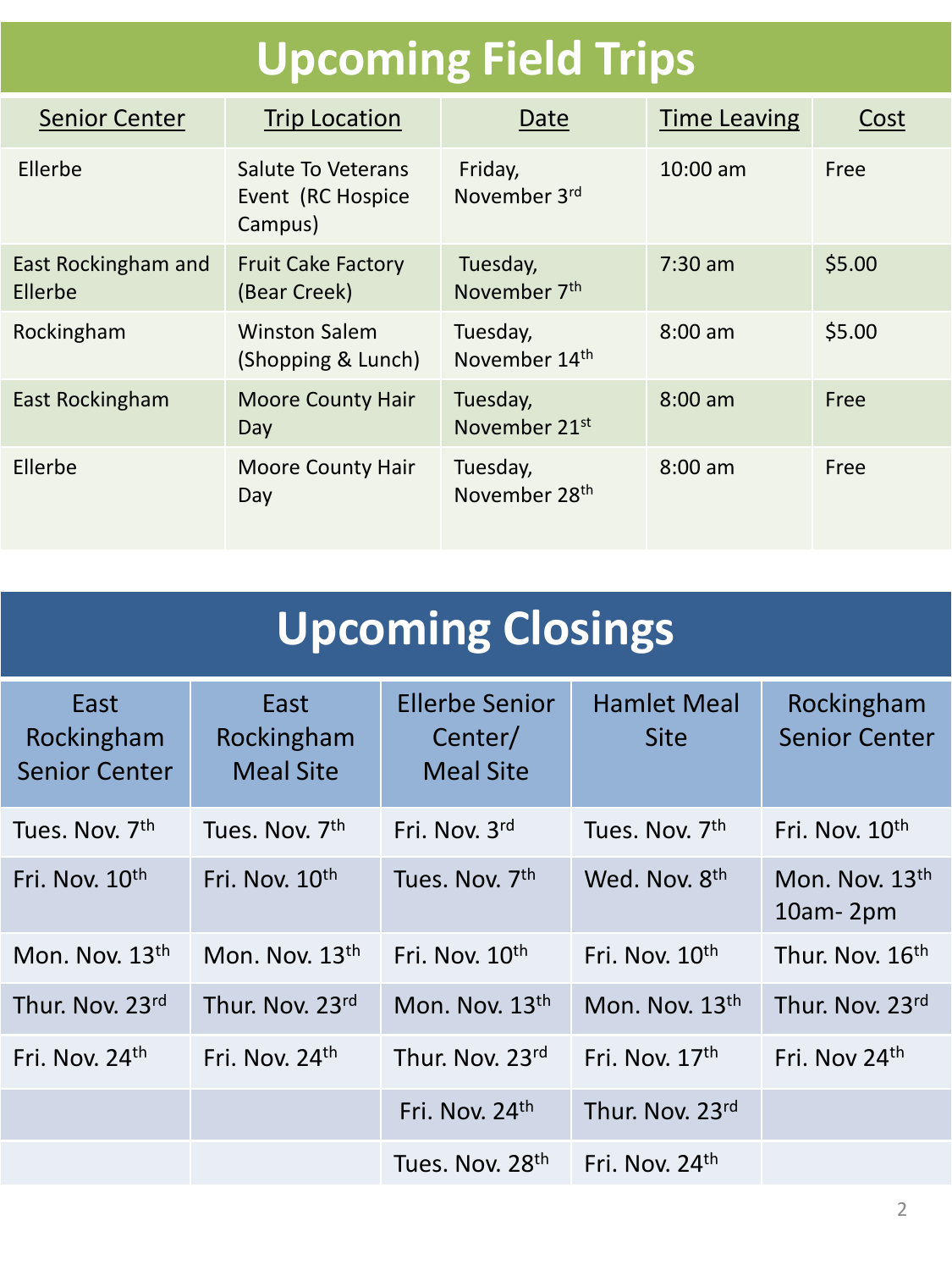## **Upcoming Field Trips**

| <b>Senior Center</b>           | <b>Trip Location</b>                               | Date                                  | <b>Time Leaving</b> | Cost   |
|--------------------------------|----------------------------------------------------|---------------------------------------|---------------------|--------|
| Ellerbe                        | Salute To Veterans<br>Event (RC Hospice<br>Campus) | Friday,<br>November 3rd               | $10:00$ am          | Free   |
| East Rockingham and<br>Ellerbe | <b>Fruit Cake Factory</b><br>(Bear Creek)          | Tuesday,<br>November 7 <sup>th</sup>  | $7:30$ am           | \$5.00 |
| Rockingham                     | <b>Winston Salem</b><br>(Shopping & Lunch)         | Tuesday,<br>November 14th             | $8:00$ am           | \$5.00 |
| East Rockingham                | <b>Moore County Hair</b><br>Day                    | Tuesday,<br>November 21 <sup>st</sup> | $8:00$ am           | Free   |
| Ellerbe                        | <b>Moore County Hair</b><br>Day                    | Tuesday,<br>November 28th             | $8:00$ am           | Free   |

| <b>Upcoming Closings</b>                   |                                        |                                                      |                                   |                                    |
|--------------------------------------------|----------------------------------------|------------------------------------------------------|-----------------------------------|------------------------------------|
| East<br>Rockingham<br><b>Senior Center</b> | East<br>Rockingham<br><b>Meal Site</b> | <b>Ellerbe Senior</b><br>Center/<br><b>Meal Site</b> | <b>Hamlet Meal</b><br><b>Site</b> | Rockingham<br><b>Senior Center</b> |
| Tues. Nov. 7th                             | Tues. Nov. 7 <sup>th</sup>             | Fri. Nov. 3rd                                        | Tues. Nov. 7th                    | Fri. Nov. 10 <sup>th</sup>         |
| Fri. Nov. 10 <sup>th</sup>                 | Fri. Nov. 10 <sup>th</sup>             | Tues. Nov. 7th                                       | Wed. Nov. 8th                     | Mon. Nov. 13th<br>$10am - 2pm$     |
| Mon. Nov. $13th$                           | Mon. Nov. $13th$                       | Fri. Nov. $10th$                                     | Fri. Nov. $10^{th}$               | Thur. Nov. 16 <sup>th</sup>        |
| Thur. Nov. 23rd                            | Thur. Nov. 23rd                        | Mon. Nov. 13th                                       | Mon. Nov. 13th                    | Thur. Nov. 23rd                    |
| Fri. Nov. 24th                             | Fri. Nov. 24th                         | Thur. Nov. 23rd                                      | Fri. Nov. $17th$                  | Fri. Nov 24th                      |
|                                            |                                        | Fri. Nov. 24th                                       | Thur. Nov. 23rd                   |                                    |
|                                            |                                        | Tues. Nov. 28th                                      | Fri. Nov. 24 <sup>th</sup>        |                                    |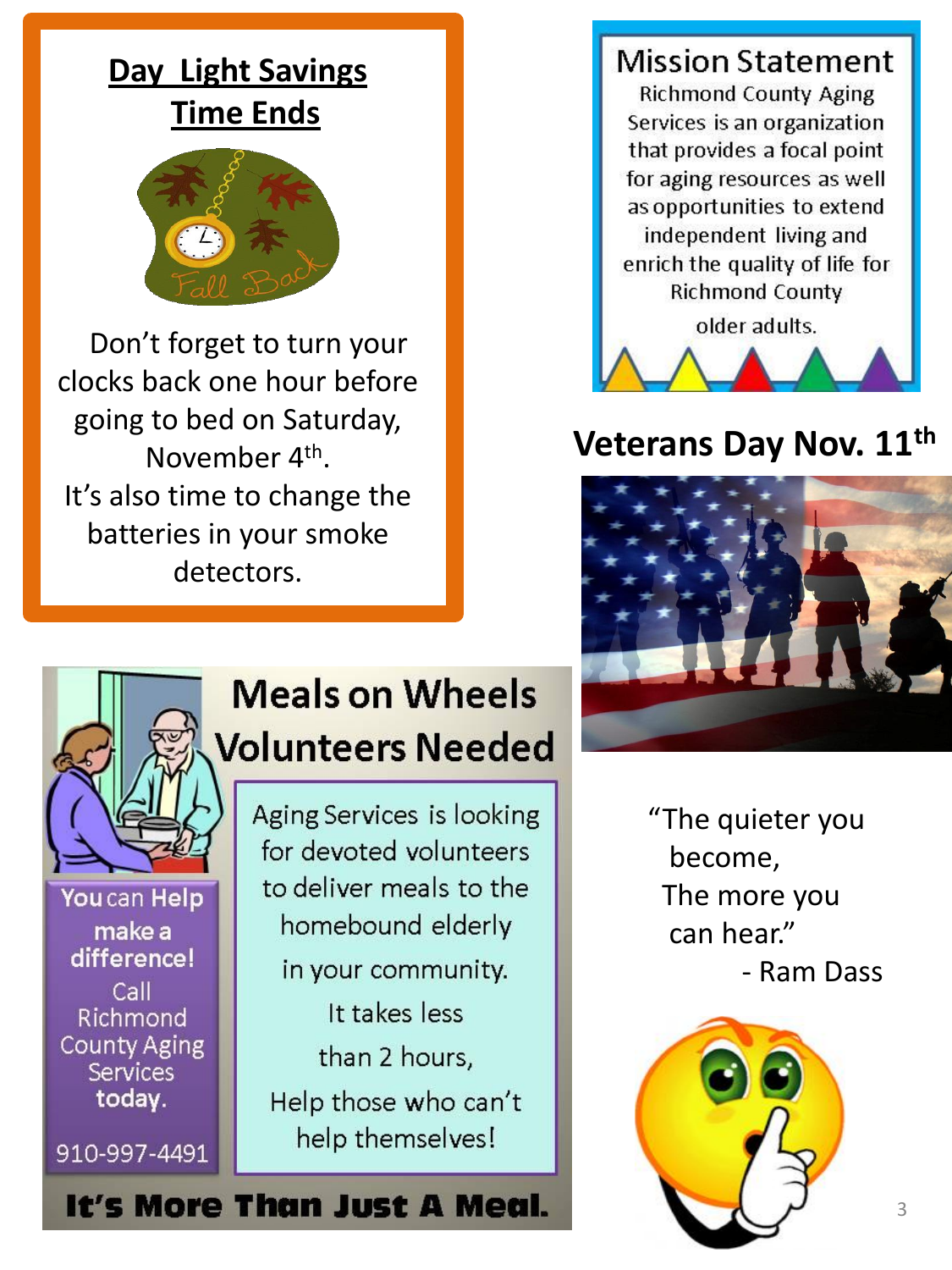#### **Day Light Savings Time Ends**



 Don't forget to turn your clocks back one hour before going to bed on Saturday, November 4<sup>th</sup>. It's also time to change the batteries in your smoke detectors.





#### **Veterans Day Nov. 11th**



## **Meals on Wheels Volunteers Needed** Aging Services is looking

You can Help make a difference! Call Richmond **County Aging** Services today.

910-997-4491

to deliver meals to the homebound elderly in your community. It takes less than 2 hours,

Help those who can't help themselves!

for devoted volunteers

"The quieter you become, The more you can hear." - Ram Dass



It's More Than Just A Meal.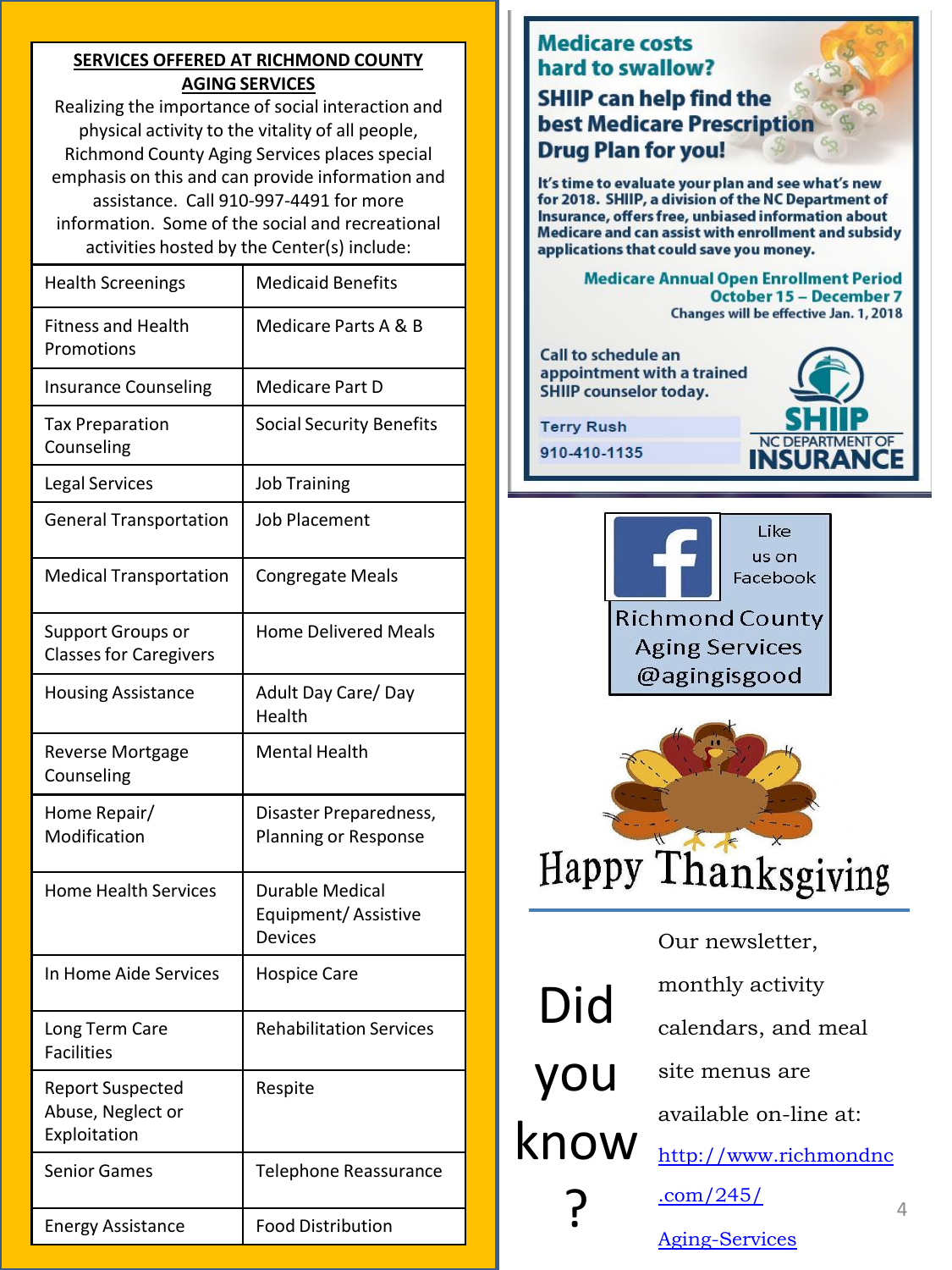#### **SERVICES OFFERED AT RICHMOND COUNTY AGING SERVICES**

Realizing the importance of social interaction and physical activity to the vitality of all people, Richmond County Aging Services places special emphasis on this and can provide information and assistance. Call 910-997-4491 for more information. Some of the social and recreational activities hosted by the Center(s) include:

| <b>Health Screenings</b>                                     | <b>Medicaid Benefits</b>                                        |
|--------------------------------------------------------------|-----------------------------------------------------------------|
| <b>Fitness and Health</b><br>Promotions                      | Medicare Parts A & B                                            |
| <b>Insurance Counseling</b>                                  | Medicare Part D                                                 |
| <b>Tax Preparation</b><br>Counseling                         | <b>Social Security Benefits</b>                                 |
| <b>Legal Services</b>                                        | <b>Job Training</b>                                             |
| <b>General Transportation</b>                                | <b>Job Placement</b>                                            |
| <b>Medical Transportation</b>                                | <b>Congregate Meals</b>                                         |
| <b>Support Groups or</b><br><b>Classes for Caregivers</b>    | <b>Home Delivered Meals</b>                                     |
| <b>Housing Assistance</b>                                    | Adult Day Care/Day<br>Health                                    |
| <b>Reverse Mortgage</b><br>Counseling                        | <b>Mental Health</b>                                            |
| Home Repair/<br>Modification                                 | Disaster Preparedness,<br>Planning or Response                  |
| <b>Home Health Services</b>                                  | <b>Durable Medical</b><br>Equipment/Assistive<br><b>Devices</b> |
| In Home Aide Services                                        | <b>Hospice Care</b>                                             |
| Long Term Care<br><b>Facilities</b>                          | <b>Rehabilitation Services</b>                                  |
| <b>Report Suspected</b><br>Abuse, Neglect or<br>Exploitation | Respite                                                         |
| <b>Senior Games</b>                                          | Telephone Reassurance                                           |
| <b>Energy Assistance</b>                                     | <b>Food Distribution</b>                                        |